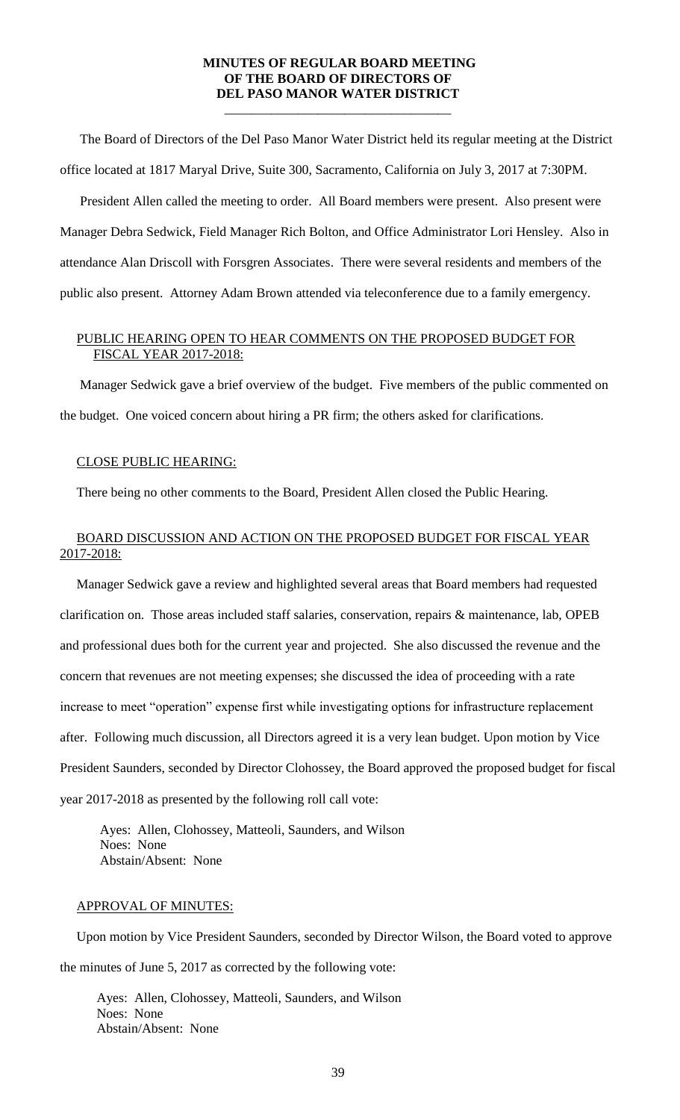## **MINUTES OF REGULAR BOARD MEETING OF THE BOARD OF DIRECTORS OF DEL PASO MANOR WATER DISTRICT**

\_\_\_\_\_\_\_\_\_\_\_\_\_\_\_\_\_\_\_\_\_\_\_\_\_\_\_\_\_\_\_\_\_\_

 The Board of Directors of the Del Paso Manor Water District held its regular meeting at the District office located at 1817 Maryal Drive, Suite 300, Sacramento, California on July 3, 2017 at 7:30PM.

 President Allen called the meeting to order. All Board members were present. Also present were Manager Debra Sedwick, Field Manager Rich Bolton, and Office Administrator Lori Hensley. Also in attendance Alan Driscoll with Forsgren Associates. There were several residents and members of the public also present. Attorney Adam Brown attended via teleconference due to a family emergency.

# PUBLIC HEARING OPEN TO HEAR COMMENTS ON THE PROPOSED BUDGET FOR FISCAL YEAR 2017-2018:

 Manager Sedwick gave a brief overview of the budget. Five members of the public commented on the budget. One voiced concern about hiring a PR firm; the others asked for clarifications.

## CLOSE PUBLIC HEARING:

There being no other comments to the Board, President Allen closed the Public Hearing.

# BOARD DISCUSSION AND ACTION ON THE PROPOSED BUDGET FOR FISCAL YEAR 2017-2018:

 Manager Sedwick gave a review and highlighted several areas that Board members had requested clarification on. Those areas included staff salaries, conservation, repairs & maintenance, lab, OPEB and professional dues both for the current year and projected. She also discussed the revenue and the concern that revenues are not meeting expenses; she discussed the idea of proceeding with a rate increase to meet "operation" expense first while investigating options for infrastructure replacement after. Following much discussion, all Directors agreed it is a very lean budget. Upon motion by Vice President Saunders, seconded by Director Clohossey, the Board approved the proposed budget for fiscal year 2017-2018 as presented by the following roll call vote:

Ayes: Allen, Clohossey, Matteoli, Saunders, and Wilson Noes: None Abstain/Absent: None

### APPROVAL OF MINUTES:

 Upon motion by Vice President Saunders, seconded by Director Wilson, the Board voted to approve the minutes of June 5, 2017 as corrected by the following vote:

 Ayes: Allen, Clohossey, Matteoli, Saunders, and Wilson Noes: None Abstain/Absent: None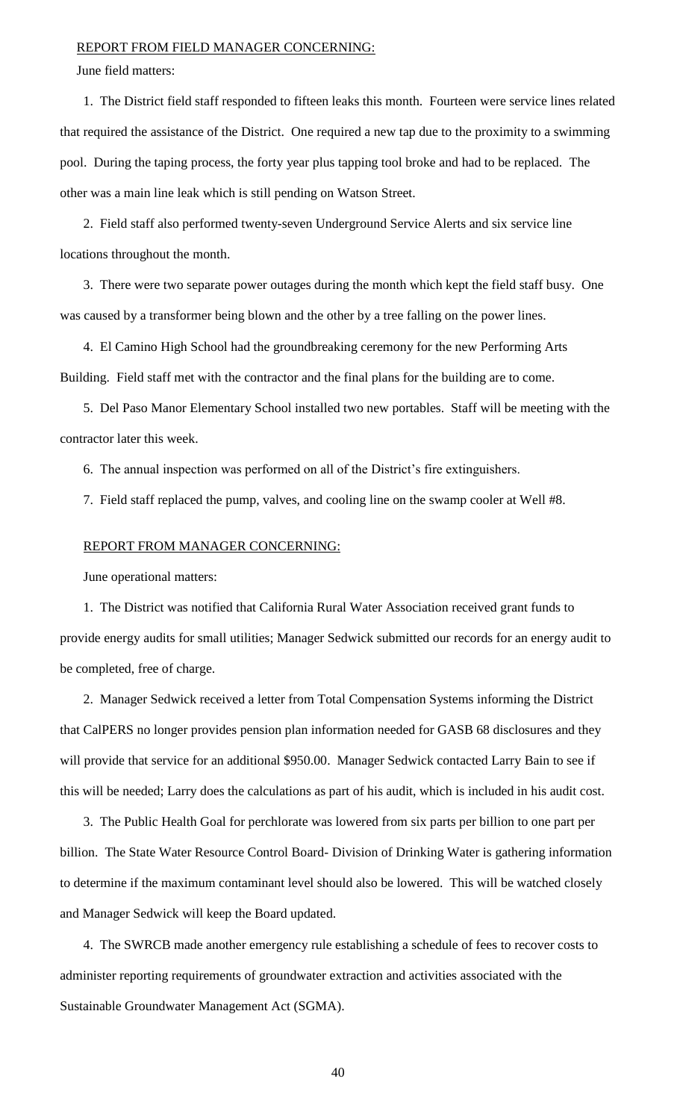#### REPORT FROM FIELD MANAGER CONCERNING:

June field matters:

1. The District field staff responded to fifteen leaks this month. Fourteen were service lines related that required the assistance of the District. One required a new tap due to the proximity to a swimming pool. During the taping process, the forty year plus tapping tool broke and had to be replaced. The other was a main line leak which is still pending on Watson Street.

2. Field staff also performed twenty-seven Underground Service Alerts and six service line locations throughout the month.

3. There were two separate power outages during the month which kept the field staff busy. One was caused by a transformer being blown and the other by a tree falling on the power lines.

4. El Camino High School had the groundbreaking ceremony for the new Performing Arts Building. Field staff met with the contractor and the final plans for the building are to come.

5. Del Paso Manor Elementary School installed two new portables. Staff will be meeting with the contractor later this week.

6. The annual inspection was performed on all of the District's fire extinguishers.

7. Field staff replaced the pump, valves, and cooling line on the swamp cooler at Well #8.

#### REPORT FROM MANAGER CONCERNING:

June operational matters:

1. The District was notified that California Rural Water Association received grant funds to provide energy audits for small utilities; Manager Sedwick submitted our records for an energy audit to be completed, free of charge.

2. Manager Sedwick received a letter from Total Compensation Systems informing the District that CalPERS no longer provides pension plan information needed for GASB 68 disclosures and they will provide that service for an additional \$950.00. Manager Sedwick contacted Larry Bain to see if this will be needed; Larry does the calculations as part of his audit, which is included in his audit cost.

3. The Public Health Goal for perchlorate was lowered from six parts per billion to one part per billion. The State Water Resource Control Board- Division of Drinking Water is gathering information to determine if the maximum contaminant level should also be lowered. This will be watched closely and Manager Sedwick will keep the Board updated.

4. The SWRCB made another emergency rule establishing a schedule of fees to recover costs to administer reporting requirements of groundwater extraction and activities associated with the Sustainable Groundwater Management Act (SGMA).

40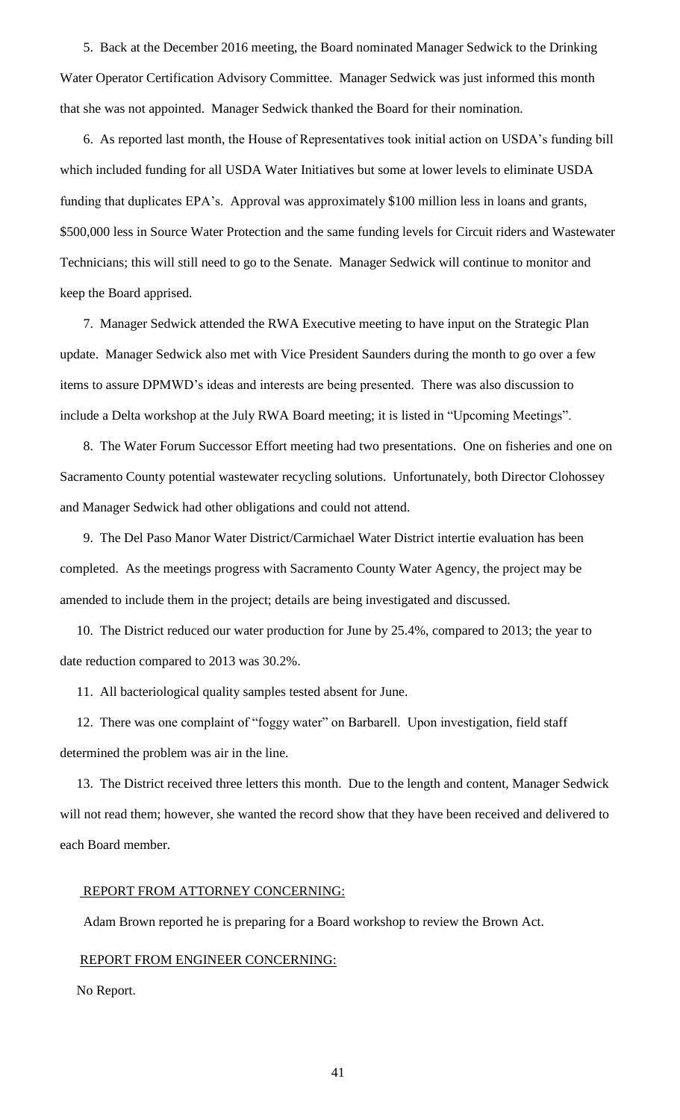5. Back at the December 2016 meeting, the Board nominated Manager Sedwick to the Drinking Water Operator Certification Advisory Committee. Manager Sedwick was just informed this month that she was not appointed. Manager Sedwick thanked the Board for their nomination.

6. As reported last month, the House of Representatives took initial action on USDA's funding bill which included funding for all USDA Water Initiatives but some at lower levels to eliminate USDA funding that duplicates EPA's. Approval was approximately \$100 million less in loans and grants, \$500,000 less in Source Water Protection and the same funding levels for Circuit riders and Wastewater Technicians; this will still need to go to the Senate. Manager Sedwick will continue to monitor and keep the Board apprised.

7. Manager Sedwick attended the RWA Executive meeting to have input on the Strategic Plan update. Manager Sedwick also met with Vice President Saunders during the month to go over a few items to assure DPMWD's ideas and interests are being presented. There was also discussion to include a Delta workshop at the July RWA Board meeting; it is listed in "Upcoming Meetings".

8. The Water Forum Successor Effort meeting had two presentations. One on fisheries and one on Sacramento County potential wastewater recycling solutions. Unfortunately, both Director Clohossey and Manager Sedwick had other obligations and could not attend.

9. The Del Paso Manor Water District/Carmichael Water District intertie evaluation has been completed. As the meetings progress with Sacramento County Water Agency, the project may be amended to include them in the project; details are being investigated and discussed.

 10. The District reduced our water production for June by 25.4%, compared to 2013; the year to date reduction compared to 2013 was 30.2%.

11. All bacteriological quality samples tested absent for June.

 12. There was one complaint of "foggy water" on Barbarell. Upon investigation, field staff determined the problem was air in the line.

 13. The District received three letters this month. Due to the length and content, Manager Sedwick will not read them; however, she wanted the record show that they have been received and delivered to each Board member.

### REPORT FROM ATTORNEY CONCERNING:

Adam Brown reported he is preparing for a Board workshop to review the Brown Act.

# REPORT FROM ENGINEER CONCERNING:

No Report.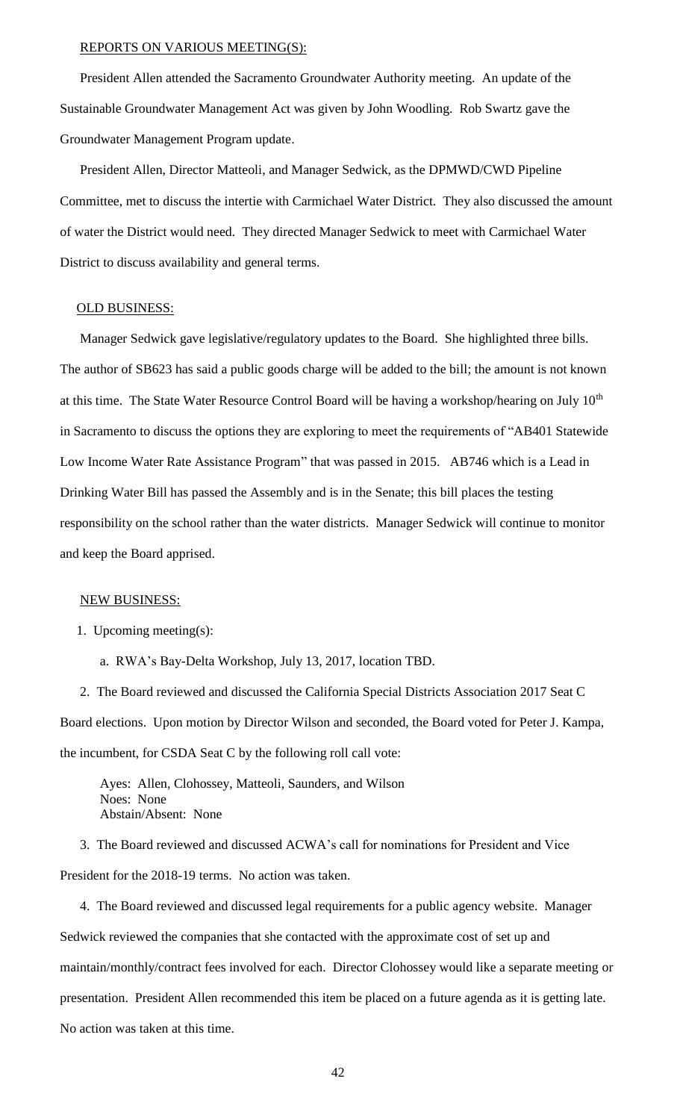#### REPORTS ON VARIOUS MEETING(S):

President Allen attended the Sacramento Groundwater Authority meeting. An update of the Sustainable Groundwater Management Act was given by John Woodling. Rob Swartz gave the Groundwater Management Program update.

President Allen, Director Matteoli, and Manager Sedwick, as the DPMWD/CWD Pipeline Committee, met to discuss the intertie with Carmichael Water District. They also discussed the amount of water the District would need. They directed Manager Sedwick to meet with Carmichael Water District to discuss availability and general terms.

#### OLD BUSINESS:

Manager Sedwick gave legislative/regulatory updates to the Board. She highlighted three bills. The author of SB623 has said a public goods charge will be added to the bill; the amount is not known at this time. The State Water Resource Control Board will be having a workshop/hearing on July 10<sup>th</sup> in Sacramento to discuss the options they are exploring to meet the requirements of "AB401 Statewide Low Income Water Rate Assistance Program" that was passed in 2015. AB746 which is a Lead in Drinking Water Bill has passed the Assembly and is in the Senate; this bill places the testing responsibility on the school rather than the water districts. Manager Sedwick will continue to monitor and keep the Board apprised.

#### NEW BUSINESS:

1. Upcoming meeting(s):

a. RWA's Bay-Delta Workshop, July 13, 2017, location TBD.

 2. The Board reviewed and discussed the California Special Districts Association 2017 Seat C Board elections. Upon motion by Director Wilson and seconded, the Board voted for Peter J. Kampa, the incumbent, for CSDA Seat C by the following roll call vote:

Ayes: Allen, Clohossey, Matteoli, Saunders, and Wilson Noes: None Abstain/Absent: None

3. The Board reviewed and discussed ACWA's call for nominations for President and Vice President for the 2018-19 terms. No action was taken.

4. The Board reviewed and discussed legal requirements for a public agency website. Manager Sedwick reviewed the companies that she contacted with the approximate cost of set up and maintain/monthly/contract fees involved for each. Director Clohossey would like a separate meeting or presentation. President Allen recommended this item be placed on a future agenda as it is getting late. No action was taken at this time.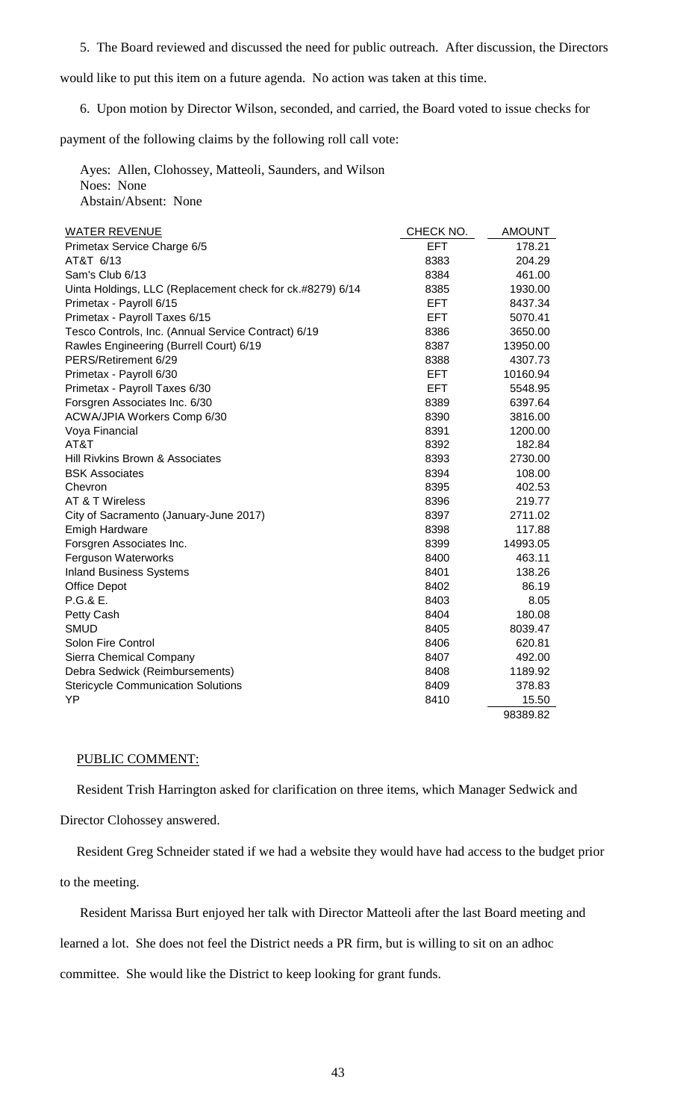5. The Board reviewed and discussed the need for public outreach. After discussion, the Directors

would like to put this item on a future agenda. No action was taken at this time.

6. Upon motion by Director Wilson, seconded, and carried, the Board voted to issue checks for

payment of the following claims by the following roll call vote:

 Ayes: Allen, Clohossey, Matteoli, Saunders, and Wilson Noes: None Abstain/Absent: None

| <b>WATER REVENUE</b>                                      | CHECK NO.  | <b>AMOUNT</b> |
|-----------------------------------------------------------|------------|---------------|
| Primetax Service Charge 6/5                               | <b>EFT</b> | 178.21        |
| AT&T 6/13                                                 | 8383       | 204.29        |
| Sam's Club 6/13                                           | 8384       | 461.00        |
| Uinta Holdings, LLC (Replacement check for ck.#8279) 6/14 | 8385       | 1930.00       |
| Primetax - Payroll 6/15                                   | <b>EFT</b> | 8437.34       |
| Primetax - Payroll Taxes 6/15                             | <b>EFT</b> | 5070.41       |
| Tesco Controls, Inc. (Annual Service Contract) 6/19       | 8386       | 3650.00       |
| Rawles Engineering (Burrell Court) 6/19                   | 8387       | 13950.00      |
| PERS/Retirement 6/29                                      | 8388       | 4307.73       |
| Primetax - Payroll 6/30                                   | EFT.       | 10160.94      |
| Primetax - Payroll Taxes 6/30                             | EFT.       | 5548.95       |
| Forsgren Associates Inc. 6/30                             | 8389       | 6397.64       |
| ACWA/JPIA Workers Comp 6/30                               | 8390       | 3816.00       |
| Voya Financial                                            | 8391       | 1200.00       |
| AT&T                                                      | 8392       | 182.84        |
| Hill Rivkins Brown & Associates                           | 8393       | 2730.00       |
| <b>BSK Associates</b>                                     | 8394       | 108.00        |
| Chevron                                                   | 8395       | 402.53        |
| AT & T Wireless                                           | 8396       | 219.77        |
| City of Sacramento (January-June 2017)                    | 8397       | 2711.02       |
| <b>Emigh Hardware</b>                                     | 8398       | 117.88        |
| Forsgren Associates Inc.                                  | 8399       | 14993.05      |
| <b>Ferguson Waterworks</b>                                | 8400       | 463.11        |
| <b>Inland Business Systems</b>                            | 8401       | 138.26        |
| <b>Office Depot</b>                                       | 8402       | 86.19         |
| P.G.& E.                                                  | 8403       | 8.05          |
| Petty Cash                                                | 8404       | 180.08        |
| <b>SMUD</b>                                               | 8405       | 8039.47       |
| Solon Fire Control                                        | 8406       | 620.81        |
| Sierra Chemical Company                                   | 8407       | 492.00        |
| Debra Sedwick (Reimbursements)                            | 8408       | 1189.92       |
| <b>Stericycle Communication Solutions</b>                 | 8409       | 378.83        |
| YP                                                        | 8410       | 15.50         |
|                                                           |            | 98389.82      |

# PUBLIC COMMENT:

 Resident Trish Harrington asked for clarification on three items, which Manager Sedwick and Director Clohossey answered.

 Resident Greg Schneider stated if we had a website they would have had access to the budget prior to the meeting.

 Resident Marissa Burt enjoyed her talk with Director Matteoli after the last Board meeting and learned a lot. She does not feel the District needs a PR firm, but is willing to sit on an adhoc committee. She would like the District to keep looking for grant funds.